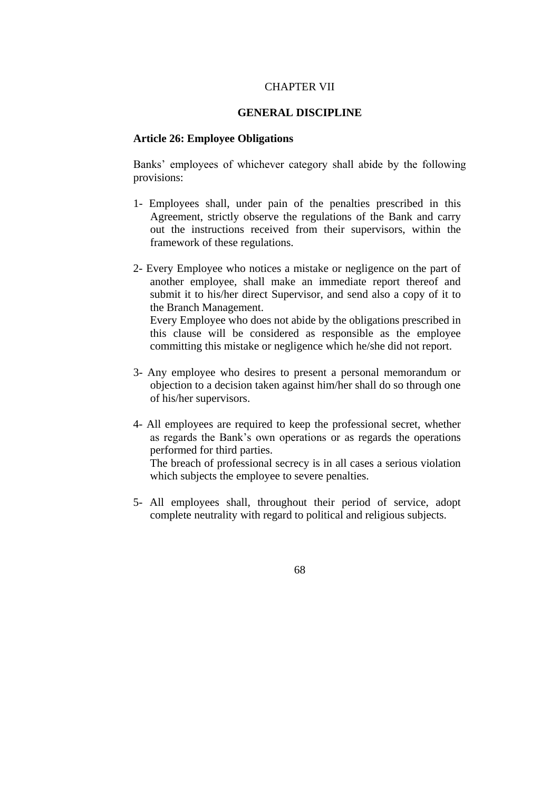## CHAPTER VII

## **GENERAL DISCIPLINE**

## **Article 26: Employee Obligations**

Banks' employees of whichever category shall abide by the following provisions:

- 1- Employees shall, under pain of the penalties prescribed in this Agreement, strictly observe the regulations of the Bank and carry out the instructions received from their supervisors, within the framework of these regulations.
- 2- Every Employee who notices a mistake or negligence on the part of another employee, shall make an immediate report thereof and submit it to his/her direct Supervisor, and send also a copy of it to the Branch Management.

Every Employee who does not abide by the obligations prescribed in this clause will be considered as responsible as the employee committing this mistake or negligence which he/she did not report.

- 3- Any employee who desires to present a personal memorandum or objection to a decision taken against him/her shall do so through one of his/her supervisors.
- 4- All employees are required to keep the professional secret, whether as regards the Bank's own operations or as regards the operations performed for third parties.

The breach of professional secrecy is in all cases a serious violation which subjects the employee to severe penalties.

5- All employees shall, throughout their period of service, adopt complete neutrality with regard to political and religious subjects.

68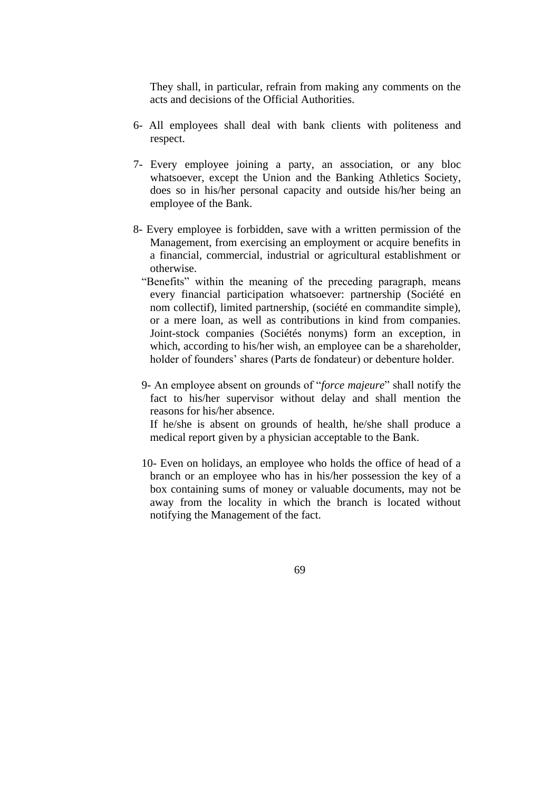They shall, in particular, refrain from making any comments on the acts and decisions of the Official Authorities.

- 6- All employees shall deal with bank clients with politeness and respect.
- 7- Every employee joining a party, an association, or any bloc whatsoever, except the Union and the Banking Athletics Society, does so in his/her personal capacity and outside his/her being an employee of the Bank.
- 8- Every employee is forbidden, save with a written permission of the Management, from exercising an employment or acquire benefits in a financial, commercial, industrial or agricultural establishment or otherwise.
	- "Benefits" within the meaning of the preceding paragraph, means every financial participation whatsoever: partnership (Société en nom collectif), limited partnership, (société en commandite simple), or a mere loan, as well as contributions in kind from companies. Joint-stock companies (Sociétés nonyms) form an exception, in which, according to his/her wish, an employee can be a shareholder, holder of founders' shares (Parts de fondateur) or debenture holder.
	- 9- An employee absent on grounds of "*force majeure*" shall notify the fact to his/her supervisor without delay and shall mention the reasons for his/her absence.

If he/she is absent on grounds of health, he/she shall produce a medical report given by a physician acceptable to the Bank.

10- Even on holidays, an employee who holds the office of head of a branch or an employee who has in his/her possession the key of a box containing sums of money or valuable documents, may not be away from the locality in which the branch is located without notifying the Management of the fact.

69